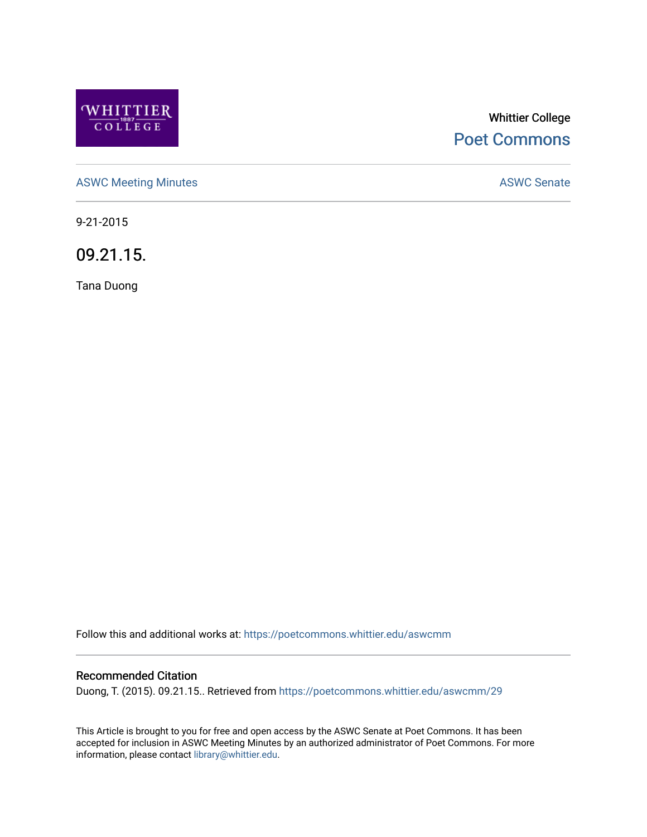

# Whittier College [Poet Commons](https://poetcommons.whittier.edu/)

[ASWC Meeting Minutes](https://poetcommons.whittier.edu/aswcmm) **ASWC Senate** 

9-21-2015

09.21.15.

Tana Duong

Follow this and additional works at: [https://poetcommons.whittier.edu/aswcmm](https://poetcommons.whittier.edu/aswcmm?utm_source=poetcommons.whittier.edu%2Faswcmm%2F29&utm_medium=PDF&utm_campaign=PDFCoverPages)

#### Recommended Citation

Duong, T. (2015). 09.21.15.. Retrieved from [https://poetcommons.whittier.edu/aswcmm/29](https://poetcommons.whittier.edu/aswcmm/29?utm_source=poetcommons.whittier.edu%2Faswcmm%2F29&utm_medium=PDF&utm_campaign=PDFCoverPages) 

This Article is brought to you for free and open access by the ASWC Senate at Poet Commons. It has been accepted for inclusion in ASWC Meeting Minutes by an authorized administrator of Poet Commons. For more information, please contact [library@whittier.edu.](mailto:library@whittier.edu)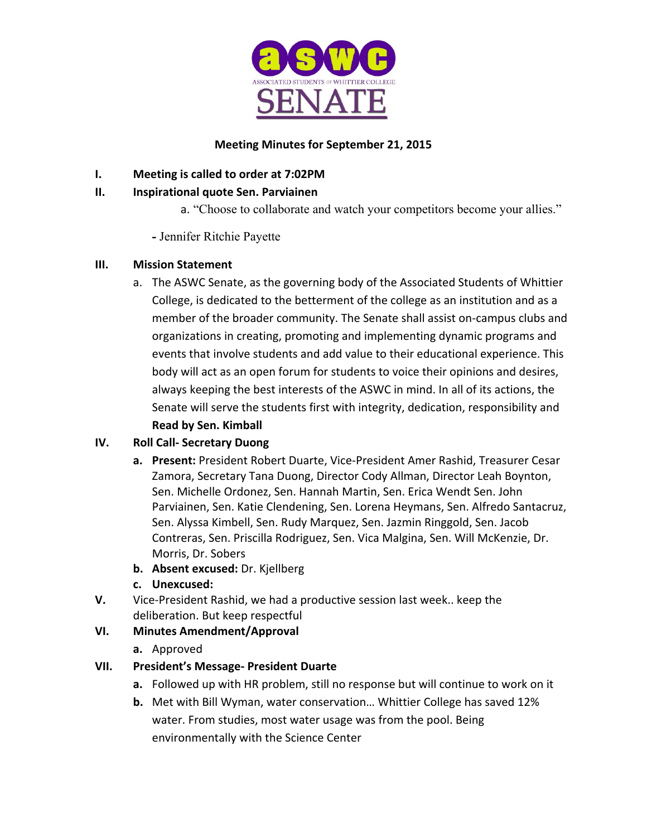

## **Meeting Minutes for September 21, 2015**

# **I.** Meeting is called to order at 7:02PM

# **II. Inspirational quote Sen. Parviainen**

a. "Choose to collaborate and watch your competitors become your allies."

**-** Jennifer Ritchie Payette

## **III. Mission Statement**

a. The ASWC Senate, as the governing body of the Associated Students of Whittier College, is dedicated to the betterment of the college as an institution and as a member of the broader community. The Senate shall assist on-campus clubs and organizations in creating, promoting and implementing dynamic programs and events that involve students and add value to their educational experience. This body will act as an open forum for students to voice their opinions and desires, always keeping the best interests of the ASWC in mind. In all of its actions, the Senate will serve the students first with integrity, dedication, responsibility and **Read by Sen. Kimball** 

## **IV. Roll Call- Secretary Duong**

- a. Present: President Robert Duarte, Vice-President Amer Rashid, Treasurer Cesar Zamora, Secretary Tana Duong, Director Cody Allman, Director Leah Boynton, Sen. Michelle Ordonez, Sen. Hannah Martin, Sen. Erica Wendt Sen. John Parviainen, Sen. Katie Clendening, Sen. Lorena Heymans, Sen. Alfredo Santacruz, Sen. Alyssa Kimbell, Sen. Rudy Marquez, Sen. Jazmin Ringgold, Sen. Jacob Contreras, Sen. Priscilla Rodriguez, Sen. Vica Malgina, Sen. Will McKenzie, Dr. Morris, Dr. Sobers
- **b.** Absent excused: Dr. Kjellberg
- **c. Unexcused:**
- **V.** Vice-President Rashid, we had a productive session last week.. keep the deliberation. But keep respectful

# **VI. Minutes Amendment/Approval**

**a.** Approved

# **VII. President's Message- President Duarte**

- **a.** Followed up with HR problem, still no response but will continue to work on it
- **b.** Met with Bill Wyman, water conservation... Whittier College has saved 12% water. From studies, most water usage was from the pool. Being environmentally with the Science Center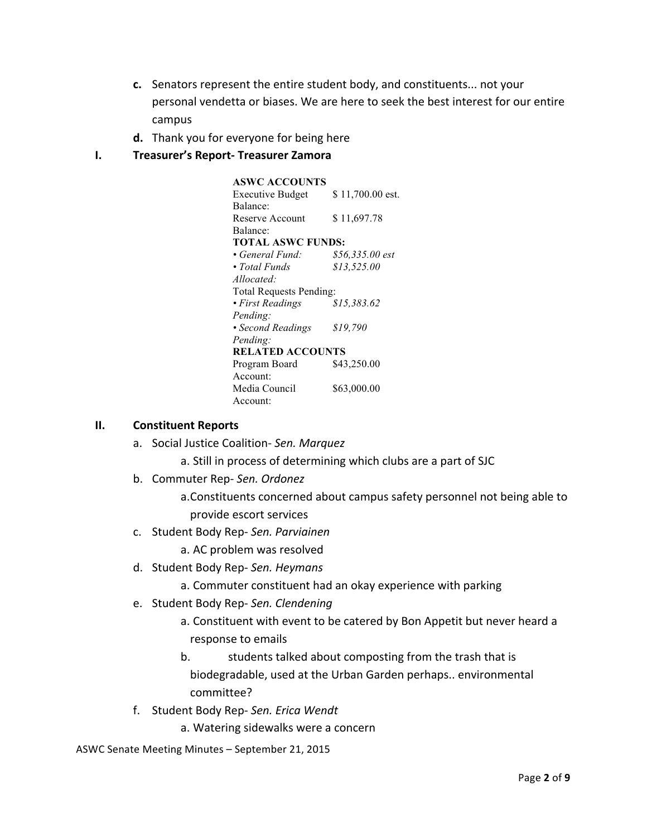- **c.** Senators represent the entire student body, and constituents... not your personal vendetta or biases. We are here to seek the best interest for our entire campus
- **d.** Thank you for everyone for being here

#### **I. Treasurer's Report- Treasurer Zamora**

**ASWC ACCOUNTS**  Executive Budget Balance: \$ 11,700.00 est. Reserve Account Balance: \$ 11,697.78 **TOTAL ASWC FUNDS:**  *• General Fund: \$56,335.00 est • Total Funds Allocated: \$13,525.00*  Total Requests Pending: *• First Readings Pending: \$15,383.62 • Second Readings Pending: \$19,790*  **RELATED ACCOUNTS**  Program Board Account: \$43,250.00 Media Council Account: \$63,000.00

#### **II. Constituent Reports**

a. Social Justice Coalition- Sen. Marquez

a. Still in process of determining which clubs are a part of SJC

b. Commuter Rep- Sen. Ordonez

a. Constituents concerned about campus safety personnel not being able to provide escort services

c. Student Body Rep- *Sen. Parviainen*

a. AC problem was resolved

d. Student Body Rep- *Sen. Heymans*

a. Commuter constituent had an okay experience with parking

- e. Student Body Rep- *Sen. Clendening*
	- a. Constituent with event to be catered by Bon Appetit but never heard a response to emails
	- b. students talked about composting from the trash that is biodegradable, used at the Urban Garden perhaps.. environmental committee?
- f. Student Body Rep- *Sen. Erica Wendt*

a. Watering sidewalks were a concern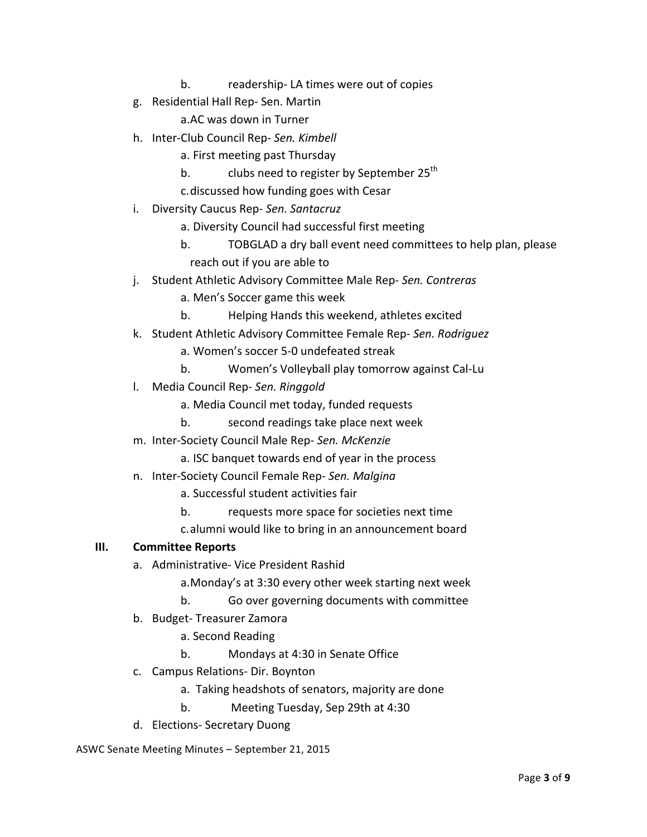- b. readership- LA times were out of copies
- g. Residential Hall Rep- Sen. Martin

a.AC was down in Turner 

- h. Inter-Club Council Rep- *Sen. Kimbell*
	- a. First meeting past Thursday
	- b. clubs need to register by September 25<sup>th</sup>
	- c. discussed how funding goes with Cesar
- i. Diversity Caucus Rep- Sen. Santacruz
	- a. Diversity Council had successful first meeting
	- b. TOBGLAD a dry ball event need committees to help plan, please reach out if you are able to
- j. Student Athletic Advisory Committee Male Rep- Sen. Contreras
	- a. Men's Soccer game this week
	- b. Helping Hands this weekend, athletes excited
- k. Student Athletic Advisory Committee Female Rep- *Sen. Rodriguez*
	- a. Women's soccer 5-0 undefeated streak
	- b. Women's Volleyball play tomorrow against Cal-Lu
- l. Media Council Rep- *Sen. Ringgold* 
	- a. Media Council met today, funded requests
	- b. second readings take place next week
- m. Inter-Society Council Male Rep- *Sen. McKenzie*
	- a. ISC banquet towards end of year in the process
- n. Inter-Society Council Female Rep- *Sen. Malgina*
	- a. Successful student activities fair
	- b. requests more space for societies next time
	- c.alumni would like to bring in an announcement board

#### **III. Committee Reports**

- a. Administrative- Vice President Rashid
	- a. Monday's at 3:30 every other week starting next week
	- b. Go over governing documents with committee
- b. Budget- Treasurer Zamora
	- a. Second Reading
	- b. Mondays at 4:30 in Senate Office
- c. Campus Relations- Dir. Boynton
	- a. Taking headshots of senators, majority are done
	- b. Meeting Tuesday, Sep 29th at 4:30
- d. Elections- Secretary Duong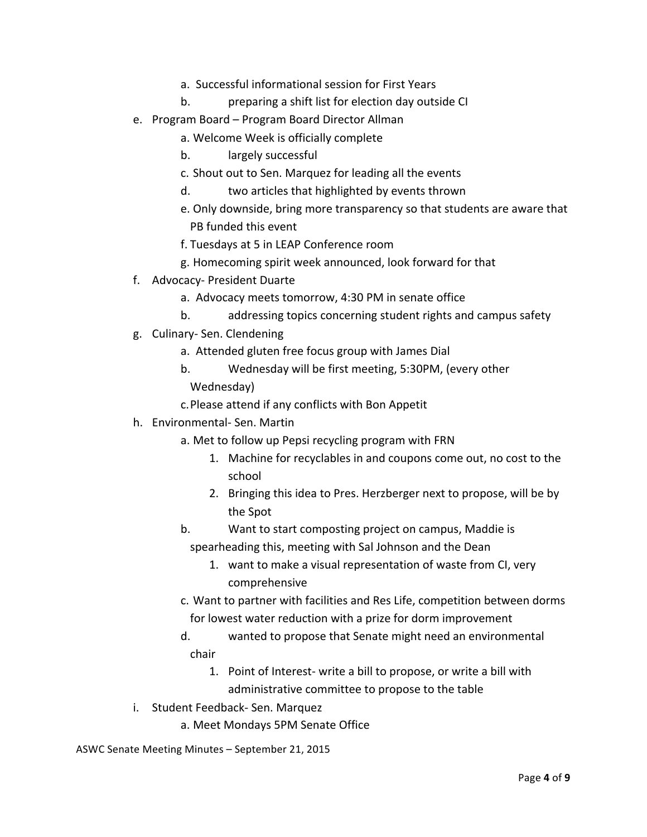- a. Successful informational session for First Years
- b. preparing a shift list for election day outside CI
- e. Program Board Program Board Director Allman
	- a. Welcome Week is officially complete
	- b. largely successful
	- c. Shout out to Sen. Marquez for leading all the events
	- d. two articles that highlighted by events thrown
	- e. Only downside, bring more transparency so that students are aware that PB funded this event
	- f. Tuesdays at 5 in LEAP Conference room
	- g. Homecoming spirit week announced, look forward for that
- f. Advocacy- President Duarte
	- a. Advocacy meets tomorrow, 4:30 PM in senate office
	- b. addressing topics concerning student rights and campus safety
- g. Culinary- Sen. Clendening
	- a. Attended gluten free focus group with James Dial
	- b. Wednesday will be first meeting, 5:30PM, (every other Wednesday)
	- c. Please attend if any conflicts with Bon Appetit
- h. Environmental- Sen. Martin
	- a. Met to follow up Pepsi recycling program with FRN
		- 1. Machine for recyclables in and coupons come out, no cost to the school
		- 2. Bringing this idea to Pres. Herzberger next to propose, will be by the Spot
	- b. Want to start composting project on campus, Maddie is spearheading this, meeting with Sal Johnson and the Dean
		- 1. want to make a visual representation of waste from CI, very comprehensive
	- c. Want to partner with facilities and Res Life, competition between dorms for lowest water reduction with a prize for dorm improvement
	- d. wanted to propose that Senate might need an environmental chair
		- 1. Point of Interest- write a bill to propose, or write a bill with administrative committee to propose to the table
- i. Student Feedback- Sen. Marquez
	- a. Meet Mondays 5PM Senate Office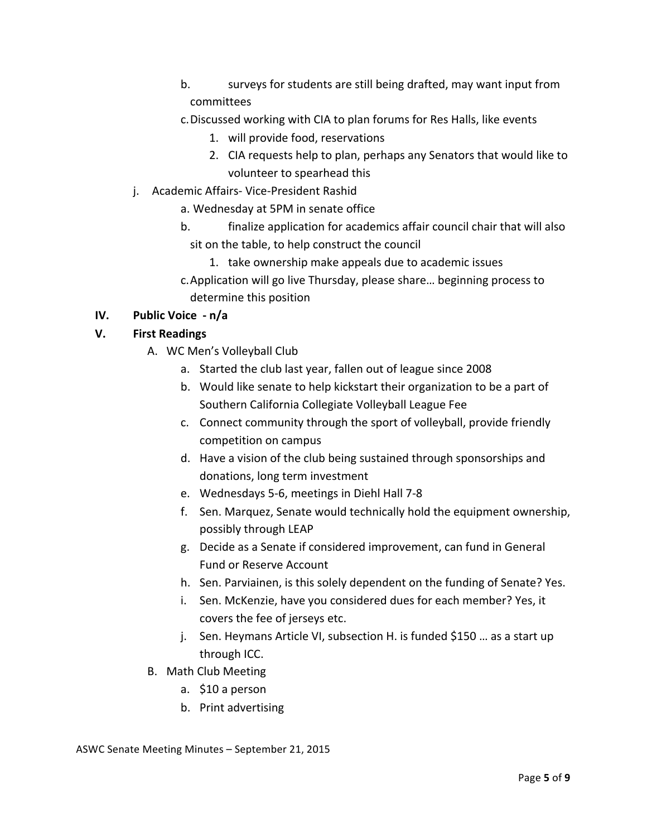- b. surveys for students are still being drafted, may want input from committees
- c. Discussed working with CIA to plan forums for Res Halls, like events
	- 1. will provide food, reservations
	- 2. CIA requests help to plan, perhaps any Senators that would like to volunteer to spearhead this
- j. Academic Affairs- Vice-President Rashid
	- a. Wednesday at 5PM in senate office
	- b. finalize application for academics affair council chair that will also sit on the table, to help construct the council
		- 1. take ownership make appeals due to academic issues
	- c. Application will go live Thursday, please share... beginning process to determine this position

## **IV. Public Voice - n/a**

# **V. First Readings**

- A. WC Men's Volleyball Club
	- a. Started the club last year, fallen out of league since 2008
	- b. Would like senate to help kickstart their organization to be a part of Southern California Collegiate Volleyball League Fee
	- c. Connect community through the sport of volleyball, provide friendly competition on campus
	- d. Have a vision of the club being sustained through sponsorships and donations, long term investment
	- e. Wednesdays 5-6, meetings in Diehl Hall 7-8
	- f. Sen. Marquez, Senate would technically hold the equipment ownership, possibly through LEAP
	- g. Decide as a Senate if considered improvement, can fund in General Fund or Reserve Account
	- h. Sen. Parviainen, is this solely dependent on the funding of Senate? Yes.
	- i. Sen. McKenzie, have you considered dues for each member? Yes, it covers the fee of jerseys etc.
	- j. Sen. Heymans Article VI, subsection H. is funded \$150 ... as a start up through ICC.
- B. Math Club Meeting
	- a. \$10 a person
	- b. Print advertising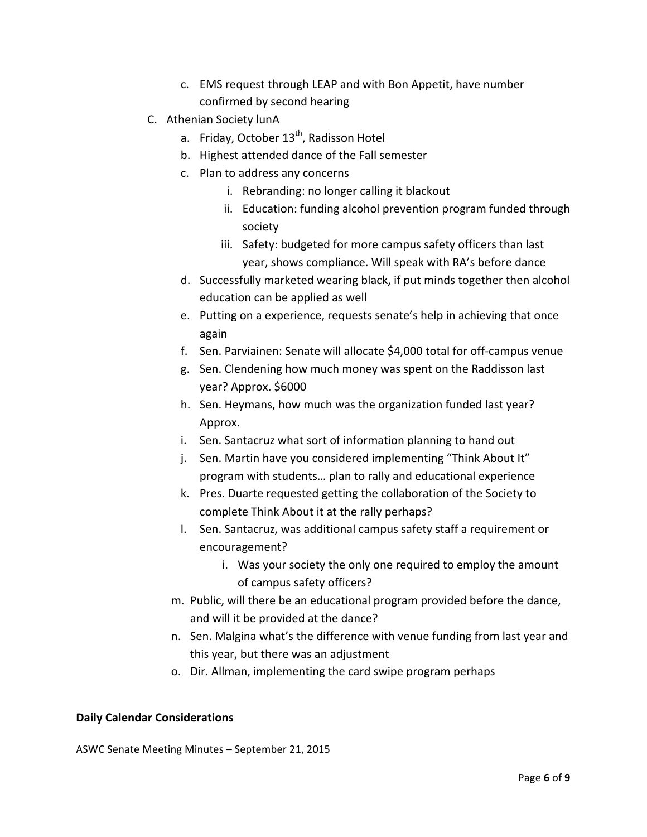- c. EMS request through LEAP and with Bon Appetit, have number confirmed by second hearing
- C. Athenian Society lunA
	- a. Friday, October  $13^{th}$ , Radisson Hotel
	- b. Highest attended dance of the Fall semester
	- c. Plan to address any concerns
		- i. Rebranding: no longer calling it blackout
		- ii. Education: funding alcohol prevention program funded through society
		- iii. Safety: budgeted for more campus safety officers than last year, shows compliance. Will speak with RA's before dance
	- d. Successfully marketed wearing black, if put minds together then alcohol education can be applied as well
	- e. Putting on a experience, requests senate's help in achieving that once again
	- f. Sen. Parviainen: Senate will allocate \$4,000 total for off-campus venue
	- g. Sen. Clendening how much money was spent on the Raddisson last year? Approx. \$6000
	- h. Sen. Heymans, how much was the organization funded last year? Approx.
	- i. Sen. Santacruz what sort of information planning to hand out
	- j. Sen. Martin have you considered implementing "Think About It" program with students... plan to rally and educational experience
	- k. Pres. Duarte requested getting the collaboration of the Society to complete Think About it at the rally perhaps?
	- I. Sen. Santacruz, was additional campus safety staff a requirement or encouragement?
		- i. Was your society the only one required to employ the amount of campus safety officers?
	- m. Public, will there be an educational program provided before the dance, and will it be provided at the dance?
	- n. Sen. Malgina what's the difference with venue funding from last year and this year, but there was an adjustment
	- o. Dir. Allman, implementing the card swipe program perhaps

#### **Daily Calendar Considerations**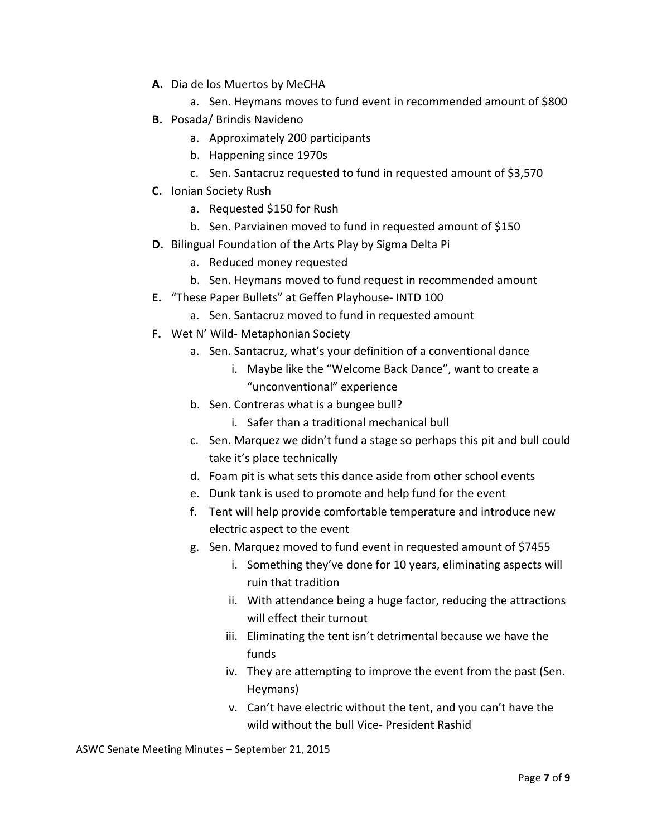- A. Dia de los Muertos by MeCHA
	- a. Sen. Heymans moves to fund event in recommended amount of \$800
- **B.** Posada/ Brindis Navideno
	- a. Approximately 200 participants
	- b. Happening since 1970s
	- c. Sen. Santacruz requested to fund in requested amount of \$3,570
- **C.** Ionian Society Rush
	- a. Requested \$150 for Rush
	- b. Sen. Parviainen moved to fund in requested amount of \$150
- **D.** Bilingual Foundation of the Arts Play by Sigma Delta Pi
	- a. Reduced money requested
	- b. Sen. Heymans moved to fund request in recommended amount
- **E.** "These Paper Bullets" at Geffen Playhouse- INTD 100
	- a. Sen. Santacruz moved to fund in requested amount
- **F.** Wet N' Wild- Metaphonian Society
	- a. Sen. Santacruz, what's your definition of a conventional dance
		- i. Maybe like the "Welcome Back Dance", want to create a "unconventional" experience
	- b. Sen. Contreras what is a bungee bull?
		- i. Safer than a traditional mechanical bull
	- c. Sen. Marquez we didn't fund a stage so perhaps this pit and bull could take it's place technically
	- d. Foam pit is what sets this dance aside from other school events
	- e. Dunk tank is used to promote and help fund for the event
	- f. Tent will help provide comfortable temperature and introduce new electric aspect to the event
	- g. Sen. Marquez moved to fund event in requested amount of \$7455
		- i. Something they've done for 10 years, eliminating aspects will ruin that tradition
		- ii. With attendance being a huge factor, reducing the attractions will effect their turnout
		- iii. Eliminating the tent isn't detrimental because we have the funds
		- iv. They are attempting to improve the event from the past (Sen. Heymans)
		- v. Can't have electric without the tent, and you can't have the wild without the bull Vice- President Rashid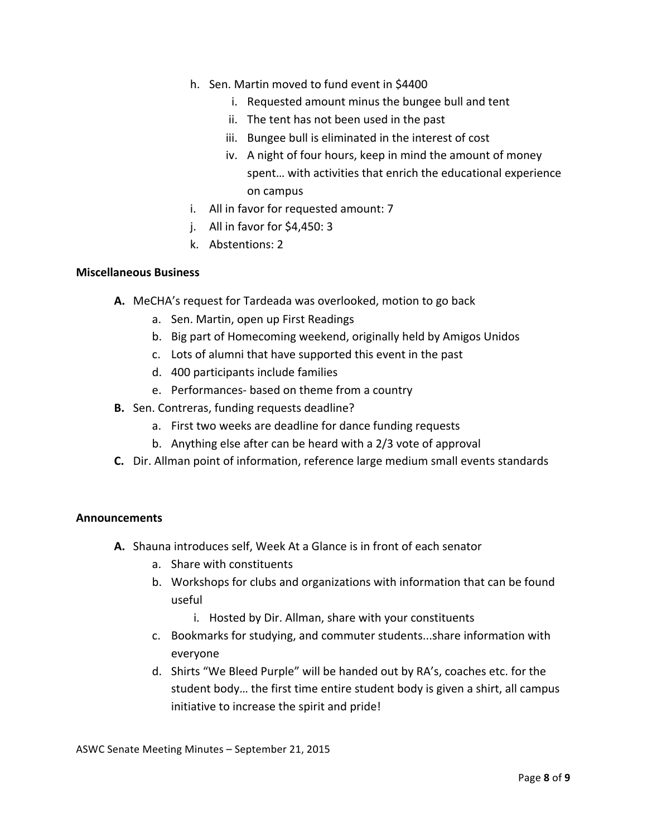- h. Sen. Martin moved to fund event in \$4400
	- i. Requested amount minus the bungee bull and tent
	- ii. The tent has not been used in the past
	- iii. Bungee bull is eliminated in the interest of cost
	- iv. A night of four hours, keep in mind the amount of money spent... with activities that enrich the educational experience on campus
- i. All in favor for requested amount: 7
- j. All in favor for  $$4,450:3$
- k. Abstentions: 2

#### **Miscellaneous Business**

- A. MeCHA's request for Tardeada was overlooked, motion to go back
	- a. Sen. Martin, open up First Readings
	- b. Big part of Homecoming weekend, originally held by Amigos Unidos
	- c. Lots of alumni that have supported this event in the past
	- d. 400 participants include families
	- e. Performances- based on theme from a country
- **B.** Sen. Contreras, funding requests deadline?
	- a. First two weeks are deadline for dance funding requests
	- b. Anything else after can be heard with a 2/3 vote of approval
- **C.** Dir. Allman point of information, reference large medium small events standards

#### **Announcements**

- A. Shauna introduces self, Week At a Glance is in front of each senator
	- a. Share with constituents
	- b. Workshops for clubs and organizations with information that can be found useful
		- i. Hosted by Dir. Allman, share with your constituents
	- c. Bookmarks for studying, and commuter students...share information with everyone
	- d. Shirts "We Bleed Purple" will be handed out by RA's, coaches etc. for the student body... the first time entire student body is given a shirt, all campus initiative to increase the spirit and pride!